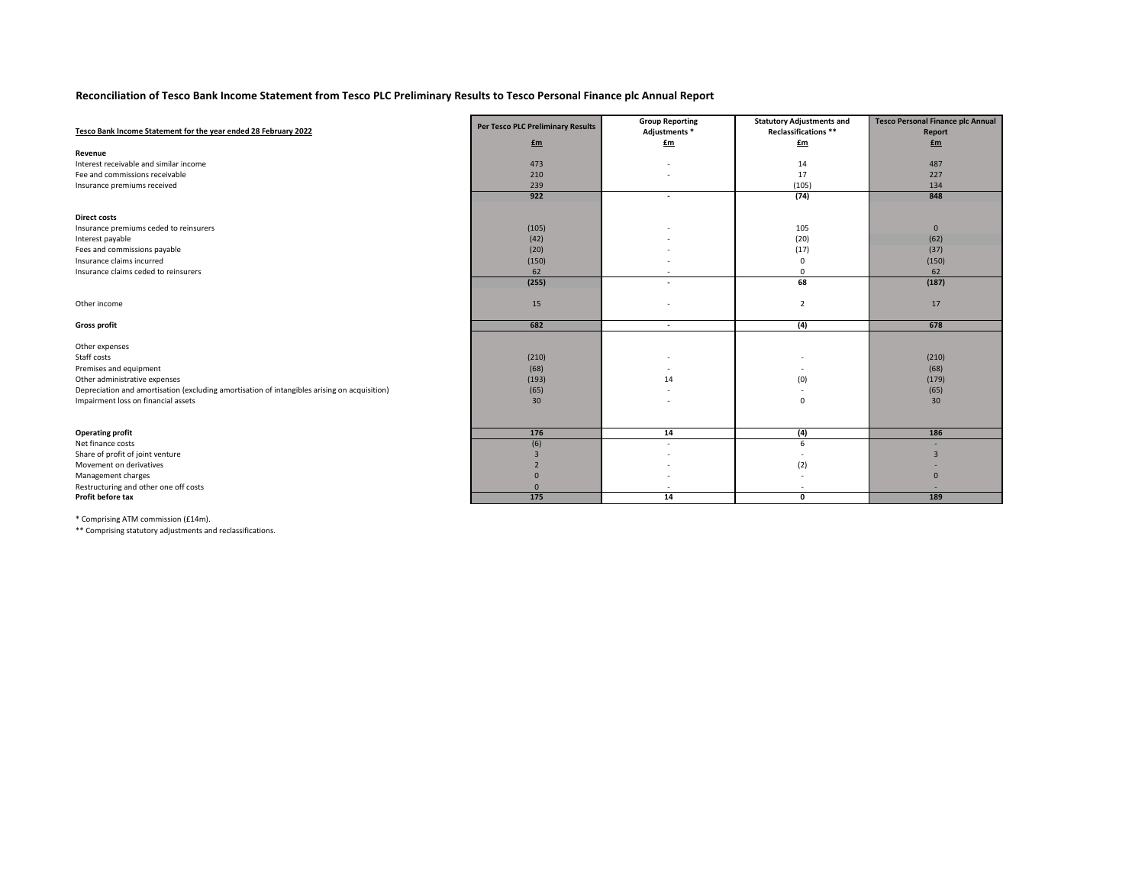## **Reconciliation of Tesco Bank Income Statement from Tesco PLC Preliminary Results to Tesco Personal Finance plc Annual Report**

|                                                                                              | <b>Per Tesco PLC Preliminary Results</b> | <b>Group Reporting</b>                | <b>Statutory Adjustments and</b> | <b>Tesco Personal Finance plc Annual</b> |
|----------------------------------------------------------------------------------------------|------------------------------------------|---------------------------------------|----------------------------------|------------------------------------------|
| Tesco Bank Income Statement for the year ended 28 February 2022                              |                                          | Adjustments *                         | Reclassifications **             | Report                                   |
|                                                                                              | $fm$                                     | $\underline{\underline{\mathbf{f}m}}$ | $\underline{\mathbf{f}}$ m       | $E_m$                                    |
| Revenue                                                                                      |                                          |                                       |                                  |                                          |
| Interest receivable and similar income                                                       | 473                                      |                                       | 14                               | 487                                      |
| Fee and commissions receivable                                                               | 210                                      |                                       | 17                               | 227                                      |
| Insurance premiums received                                                                  | 239                                      |                                       | (105)                            | 134                                      |
|                                                                                              | 922                                      | $\qquad \qquad \blacksquare$          | (74)                             | 848                                      |
| <b>Direct costs</b>                                                                          |                                          |                                       |                                  |                                          |
| Insurance premiums ceded to reinsurers                                                       | (105)                                    |                                       | 105                              | $\mathbf{0}$                             |
| Interest payable                                                                             | (42)                                     |                                       | (20)                             | (62)                                     |
| Fees and commissions payable                                                                 | (20)                                     |                                       | (17)                             | (37)                                     |
| Insurance claims incurred                                                                    | (150)                                    |                                       | $\mathbf 0$                      | (150)                                    |
| Insurance claims ceded to reinsurers                                                         | 62                                       |                                       | $\mathbf 0$                      | 62                                       |
|                                                                                              | (255)                                    |                                       | 68                               | (187)                                    |
|                                                                                              |                                          |                                       |                                  |                                          |
| Other income                                                                                 | 15                                       |                                       | $\overline{2}$                   | 17                                       |
| <b>Gross profit</b>                                                                          | 682                                      | $\blacksquare$                        | (4)                              | 678                                      |
|                                                                                              |                                          |                                       |                                  |                                          |
| Other expenses                                                                               |                                          |                                       |                                  |                                          |
| Staff costs                                                                                  | (210)                                    |                                       | $\overline{\phantom{a}}$         | (210)                                    |
| Premises and equipment                                                                       | (68)                                     |                                       |                                  | (68)                                     |
| Other administrative expenses                                                                | (193)                                    | 14                                    | (0)                              | (179)                                    |
| Depreciation and amortisation (excluding amortisation of intangibles arising on acquisition) | (65)                                     |                                       |                                  | (65)                                     |
| Impairment loss on financial assets                                                          | 30                                       |                                       | $\mathbf{0}$                     | 30                                       |
|                                                                                              |                                          |                                       |                                  |                                          |
| <b>Operating profit</b>                                                                      | 176                                      | 14                                    | (4)                              | 186                                      |
| Net finance costs                                                                            | (6)                                      |                                       | 6                                |                                          |
| Share of profit of joint venture                                                             | $\mathbf{R}$                             |                                       |                                  |                                          |
| Movement on derivatives                                                                      |                                          |                                       | (2)                              |                                          |
| Management charges                                                                           | $\Omega$                                 |                                       |                                  | $\Omega$                                 |
| Restructuring and other one off costs                                                        | $\mathbf{0}$                             |                                       |                                  |                                          |
| Profit before tax                                                                            | 175                                      | 14                                    | $\mathbf{0}$                     | 189                                      |
|                                                                                              |                                          |                                       |                                  |                                          |

\* Comprising ATM commission (£14m).

\*\* Comprising statutory adjustments and reclassifications.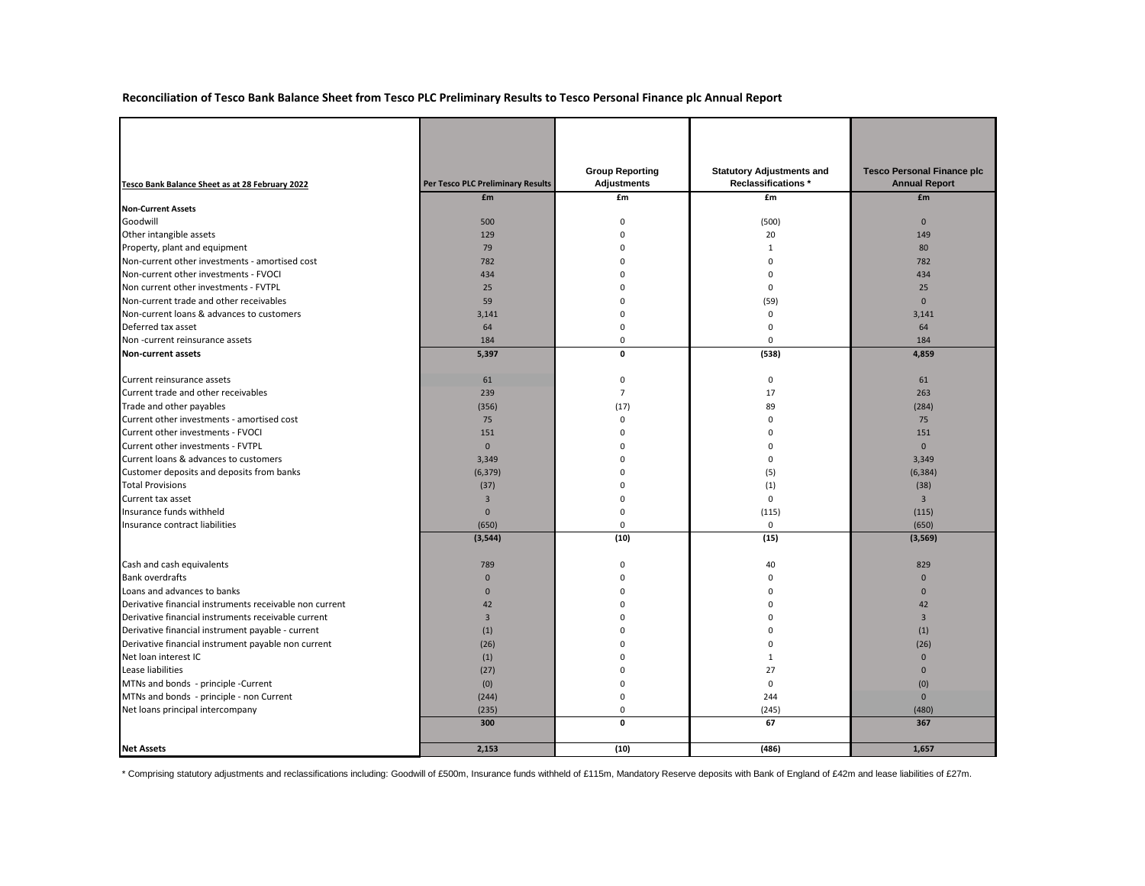## **Reconciliation of Tesco Bank Balance Sheet from Tesco PLC Preliminary Results to Tesco Personal Finance plc Annual Report**

|                                                         |                                          | <b>Group Reporting</b> | <b>Statutory Adjustments and</b> | <b>Tesco Personal Finance plc</b> |
|---------------------------------------------------------|------------------------------------------|------------------------|----------------------------------|-----------------------------------|
| Tesco Bank Balance Sheet as at 28 February 2022         | <b>Per Tesco PLC Preliminary Results</b> | <b>Adjustments</b>     | <b>Reclassifications *</b>       | <b>Annual Report</b>              |
| <b>Non-Current Assets</b>                               | £m                                       | £m                     | £m                               | £m                                |
| Goodwill                                                | 500                                      |                        | (500)                            | $\Omega$                          |
| Other intangible assets                                 | 129                                      |                        | 20                               | 149                               |
| Property, plant and equipment                           | 79                                       |                        |                                  | 80                                |
| Non-current other investments - amortised cost          | 782                                      |                        |                                  | 782                               |
| Non-current other investments - FVOCI                   | 434                                      |                        |                                  | 434                               |
| Non current other investments - FVTPL                   | 25                                       |                        | 0                                | 25                                |
| Non-current trade and other receivables                 | 59                                       |                        | (59)                             | $\mathbf{0}$                      |
| Non-current loans & advances to customers               | 3,141                                    |                        |                                  | 3,141                             |
| Deferred tax asset                                      | 64                                       |                        |                                  | 64                                |
| Non-current reinsurance assets                          | 184                                      |                        | 0                                | 184                               |
| Non-current assets                                      | 5,397                                    | $\mathbf{0}$           | (538)                            | 4,859                             |
|                                                         |                                          |                        |                                  |                                   |
| Current reinsurance assets                              | 61                                       |                        | $\mathbf 0$                      | 61                                |
| Current trade and other receivables                     | 239                                      |                        | 17                               | 263                               |
| Trade and other payables                                | (356)                                    | (17)                   | 89                               | (284)                             |
| Current other investments - amortised cost              | 75                                       |                        | ŋ                                | 75                                |
| Current other investments - FVOCI                       | 151                                      |                        |                                  | 151                               |
| Current other investments - FVTPL                       | $\mathbf{0}$                             |                        |                                  | $\mathbf{0}$                      |
| Current loans & advances to customers                   | 3,349                                    |                        |                                  | 3,349                             |
| Customer deposits and deposits from banks               | (6, 379)                                 |                        | (5)                              | (6, 384)                          |
| <b>Total Provisions</b>                                 | (37)                                     |                        | (1)                              | (38)                              |
| Current tax asset                                       |                                          |                        | O                                |                                   |
| Insurance funds withheld                                | 0                                        |                        | (115)                            | (115)                             |
| Insurance contract liabilities                          | (650)                                    |                        | $\Omega$                         | (650)                             |
|                                                         | (3, 544)                                 | (10)                   | (15)                             | (3, 569)                          |
| Cash and cash equivalents                               | 789                                      |                        | 40                               | 829                               |
| <b>Bank overdrafts</b>                                  | $\mathbf{0}$                             |                        |                                  | 0                                 |
| Loans and advances to banks                             | $\Omega$                                 |                        |                                  | 0                                 |
| Derivative financial instruments receivable non current | 42                                       |                        |                                  | 42                                |
| Derivative financial instruments receivable current     |                                          |                        |                                  |                                   |
| Derivative financial instrument payable - current       | (1)                                      |                        |                                  | (1)                               |
| Derivative financial instrument payable non current     | (26)                                     |                        |                                  | (26)                              |
| Net loan interest IC                                    | (1)                                      |                        |                                  |                                   |
| Lease liabilities                                       | (27)                                     |                        | 27                               |                                   |
| MTNs and bonds - principle -Current                     | (0)                                      |                        | 0                                | (0)                               |
| MTNs and bonds - principle - non Current                | (244)                                    |                        | 244                              | $\mathbf{0}$                      |
| Net loans principal intercompany                        | (235)                                    |                        | (245)                            | (480)                             |
|                                                         | 300                                      | $\mathbf 0$            | 67                               | 367                               |
| <b>Net Assets</b>                                       | 2,153                                    | (10)                   | (486)                            | 1,657                             |

\* Comprising statutory adjustments and reclassifications including: Goodwill of £500m, Insurance funds withheld of £115m, Mandatory Reserve deposits with Bank of England of £42m and lease liabilities of £27m.